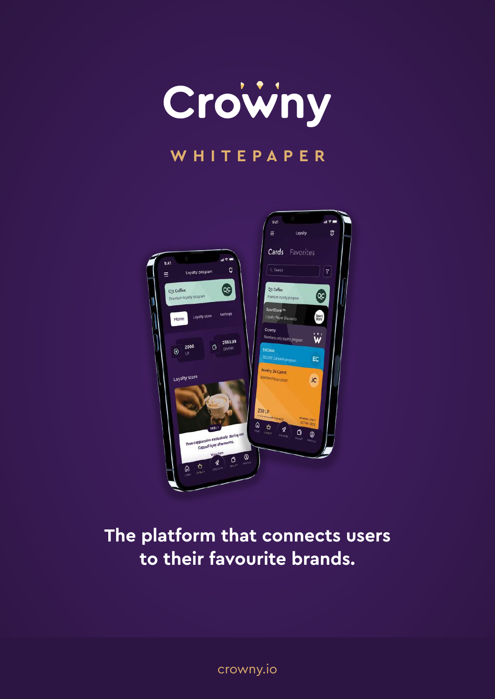

## **WHITEPAPER**



## **The platform that connects users to their favourite brands.**

crowny.io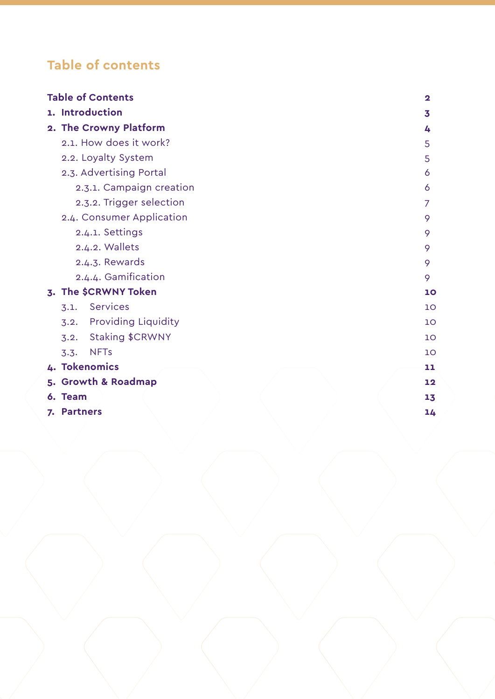## **Table of contents**

| <b>Table of Contents</b><br>$\mathbf 2$ |    |
|-----------------------------------------|----|
| 1. Introduction                         | 3  |
| 2. The Crowny Platform                  | 4  |
| 2.1. How does it work?                  | 5  |
| 2.2. Loyalty System                     | 5  |
| 2.3. Advertising Portal                 | 6  |
| 2.3.1. Campaign creation                | 6  |
| 2.3.2. Trigger selection                | 7  |
| 2.4. Consumer Application               | 9  |
| 2.4.1. Settings                         | 9  |
| 2.4.2. Wallets                          | 9  |
| 2.4.3. Rewards                          | 9  |
| 2.4.4. Gamification                     | 9  |
| 3. The \$CRWNY Token                    | 10 |
| Services<br>3.1.                        | 10 |
| <b>Providing Liquidity</b><br>3.2.      | 10 |
| Staking \$CRWNY<br>3.2.                 | 10 |
| <b>NFTs</b><br>3.3.                     | 10 |
| 4. Tokenomics                           | 11 |
| 5. Growth & Roadmap                     | 12 |
| 6. Team                                 | 13 |
| 7. Partners                             | 14 |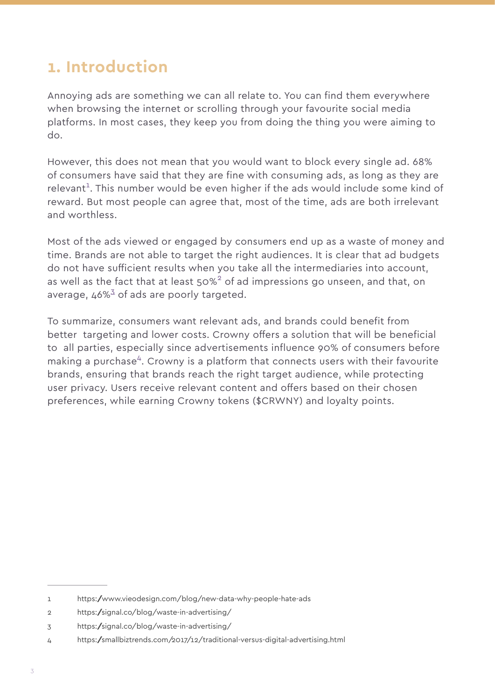## **1. Introduction**

Annoying ads are something we can all relate to. You can find them everywhere when browsing the internet or scrolling through your favourite social media platforms. In most cases, they keep you from doing the thing you were aiming to do.

However, this does not mean that you would want to block every single ad. 68% of consumers have said that they are fine with consuming ads, as long as they are relevant<sup>1</sup>. This number would be even higher if the ads would include some kind of reward. But most people can agree that, most of the time, ads are both irrelevant and worthless.

Most of the ads viewed or engaged by consumers end up as a waste of money and time. Brands are not able to target the right audiences. It is clear that ad budgets do not have sufficient results when you take all the intermediaries into account, as well as the fact that at least 50% $^2$  of ad impressions go unseen, and that, on average,  $46\%^3$  of ads are poorly targeted.

To summarize, consumers want relevant ads, and brands could benefit from better targeting and lower costs. Crowny offers a solution that will be beneficial to all parties, especially since advertisements influence 90% of consumers before making a purchase<sup>4</sup>. Crowny is a platform that connects users with their favourite brands, ensuring that brands reach the right target audience, while protecting user privacy. Users receive relevant content and offers based on their chosen preferences, while earning Crowny tokens (\$CRWNY) and loyalty points.

<sup>1</sup> https:/www.vieodesign.com/blog/new-data-why-people-hate-ads

<sup>2</sup> https:/signal.co/blog/waste-in-advertising/

<sup>3</sup> https:/signal.co/blog/waste-in-advertising/

<sup>4</sup> https:/smallbiztrends.com/2017/12/traditional-versus-digital-advertising.html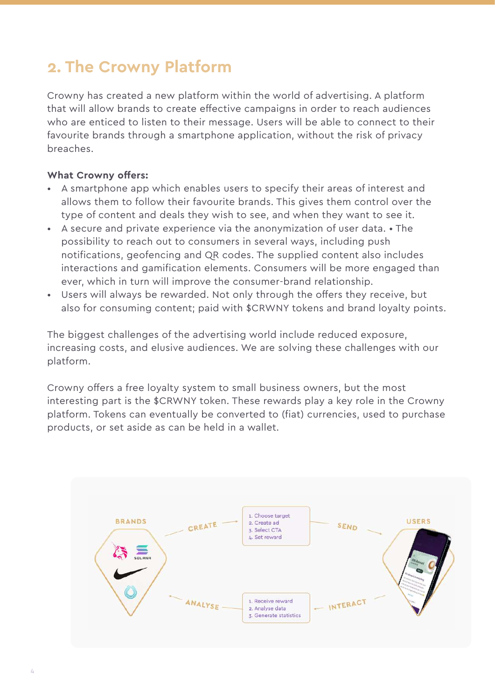## **2. The Crowny Platform**

Crowny has created a new platform within the world of advertising. A platform that will allow brands to create effective campaigns in order to reach audiences who are enticed to listen to their message. Users will be able to connect to their favourite brands through a smartphone application, without the risk of privacy breaches.

#### **What Crowny offers:**

- A smartphone app which enables users to specify their areas of interest and allows them to follow their favourite brands. This gives them control over the type of content and deals they wish to see, and when they want to see it.
- A secure and private experience via the anonymization of user data. The possibility to reach out to consumers in several ways, including push notifications, geofencing and QR codes. The supplied content also includes interactions and gamification elements. Consumers will be more engaged than ever, which in turn will improve the consumer-brand relationship.
- Users will always be rewarded. Not only through the offers they receive, but also for consuming content; paid with \$CRWNY tokens and brand loyalty points.

The biggest challenges of the advertising world include reduced exposure, increasing costs, and elusive audiences. We are solving these challenges with our platform.

Crowny offers a free loyalty system to small business owners, but the most interesting part is the \$CRWNY token. These rewards play a key role in the Crowny platform. Tokens can eventually be converted to (fiat) currencies, used to purchase products, or set aside as can be held in a wallet.

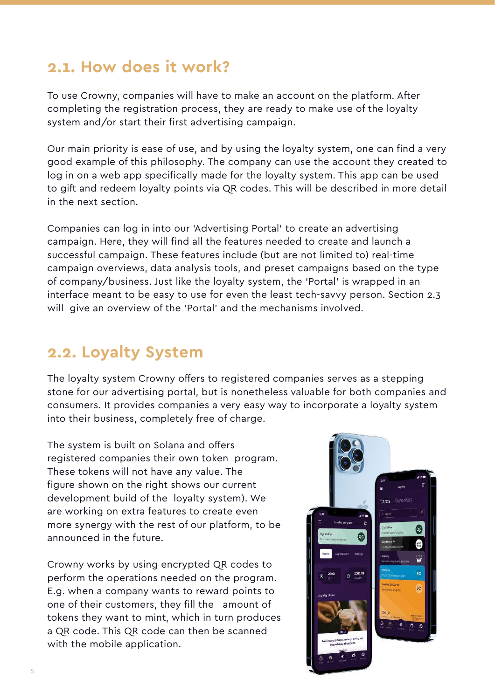## **2.1. How does it work?**

To use Crowny, companies will have to make an account on the platform. After completing the registration process, they are ready to make use of the loyalty system and/or start their first advertising campaign.

Our main priority is ease of use, and by using the loyalty system, one can find a very good example of this philosophy. The company can use the account they created to log in on a web app specifically made for the loyalty system. This app can be used to gift and redeem loyalty points via QR codes. This will be described in more detail in the next section.

Companies can log in into our 'Advertising Portal' to create an advertising campaign. Here, they will find all the features needed to create and launch a successful campaign. These features include (but are not limited to) real-time campaign overviews, data analysis tools, and preset campaigns based on the type of company/business. Just like the loyalty system, the 'Portal' is wrapped in an interface meant to be easy to use for even the least tech-savvy person. Section 2.3 will give an overview of the 'Portal' and the mechanisms involved.

## **2.2. Loyalty System**

The loyalty system Crowny offers to registered companies serves as a stepping stone for our advertising portal, but is nonetheless valuable for both companies and consumers. It provides companies a very easy way to incorporate a loyalty system into their business, completely free of charge.

The system is built on Solana and offers registered companies their own token program. These tokens will not have any value. The figure shown on the right shows our current development build of the loyalty system). We are working on extra features to create even more synergy with the rest of our platform, to be announced in the future.

Crowny works by using encrypted QR codes to perform the operations needed on the program. E.g. when a company wants to reward points to one of their customers, they fill the amount of tokens they want to mint, which in turn produces a QR code. This QR code can then be scanned with the mobile application.

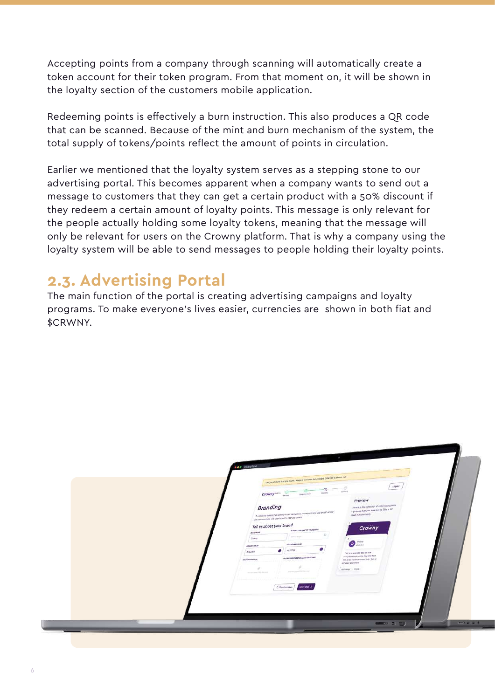Accepting points from a company through scanning will automatically create a token account for their token program. From that moment on, it will be shown in the loyalty section of the customers mobile application.

Redeeming points is effectively a burn instruction. This also produces a QR code that can be scanned. Because of the mint and burn mechanism of the system, the total supply of tokens/points reflect the amount of points in circulation.

Earlier we mentioned that the loyalty system serves as a stepping stone to our advertising portal. This becomes apparent when a company wants to send out a message to customers that they can get a certain product with a 50% discount if they redeem a certain amount of loyalty points. This message is only relevant for the people actually holding some loyalty tokens, meaning that the message will only be relevant for users on the Crowny platform. That is why a company using the loyalty system will be able to send messages to people holding their loyalty points.

## **2.3. Advertising Portal**

The main function of the portal is creating advertising campaigns and loyalty programs. To make everyone's lives easier, currencies are shown in both fiat and \$CRWNY.

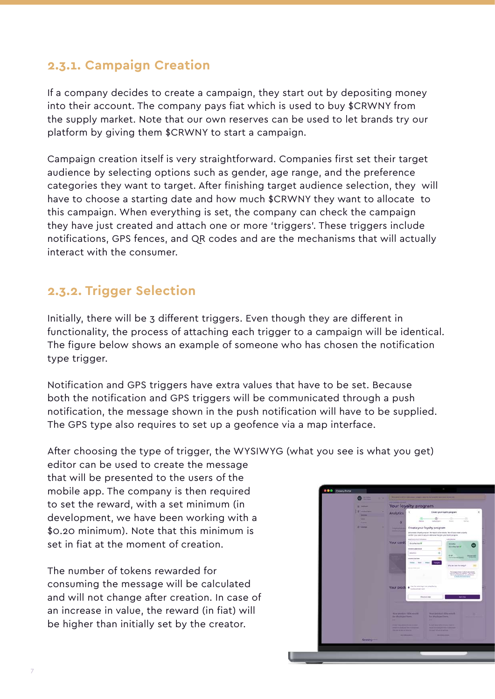### **2.3.1. Campaign Creation**

If a company decides to create a campaign, they start out by depositing money into their account. The company pays fiat which is used to buy \$CRWNY from the supply market. Note that our own reserves can be used to let brands try our platform by giving them \$CRWNY to start a campaign.

Campaign creation itself is very straightforward. Companies first set their target audience by selecting options such as gender, age range, and the preference categories they want to target. After finishing target audience selection, they will have to choose a starting date and how much \$CRWNY they want to allocate to this campaign. When everything is set, the company can check the campaign they have just created and attach one or more 'triggers'. These triggers include notifications, GPS fences, and QR codes and are the mechanisms that will actually interact with the consumer.

### **2.3.2. Trigger Selection**

Initially, there will be 3 different triggers. Even though they are different in functionality, the process of attaching each trigger to a campaign will be identical. The figure below shows an example of someone who has chosen the notification type trigger.

Notification and GPS triggers have extra values that have to be set. Because both the notification and GPS triggers will be communicated through a push notification, the message shown in the push notification will have to be supplied. The GPS type also requires to set up a geofence via a map interface.

After choosing the type of trigger, the WYSIWYG (what you see is what you get)

editor can be used to create the message that will be presented to the users of the mobile app. The company is then required to set the reward, with a set minimum (in development, we have been working with a \$0.20 minimum). Note that this minimum is set in fiat at the moment of creation.

The number of tokens rewarded for consuming the message will be calculated and will not change after creation. In case of an increase in value, the reward (in fiat) will be higher than initially set by the creator.

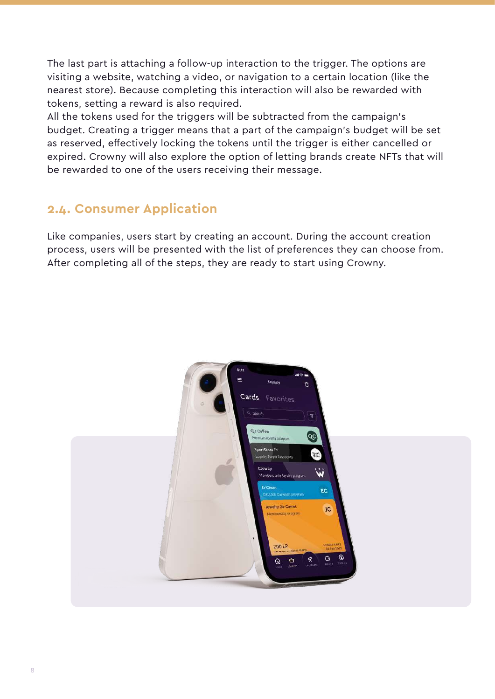The last part is attaching a follow-up interaction to the trigger. The options are visiting a website, watching a video, or navigation to a certain location (like the nearest store). Because completing this interaction will also be rewarded with tokens, setting a reward is also required.

All the tokens used for the triggers will be subtracted from the campaign's budget. Creating a trigger means that a part of the campaign's budget will be set as reserved, effectively locking the tokens until the trigger is either cancelled or expired. Crowny will also explore the option of letting brands create NFTs that will be rewarded to one of the users receiving their message.

## **2.4. Consumer Application**

Like companies, users start by creating an account. During the account creation process, users will be presented with the list of preferences they can choose from. After completing all of the steps, they are ready to start using Crowny.

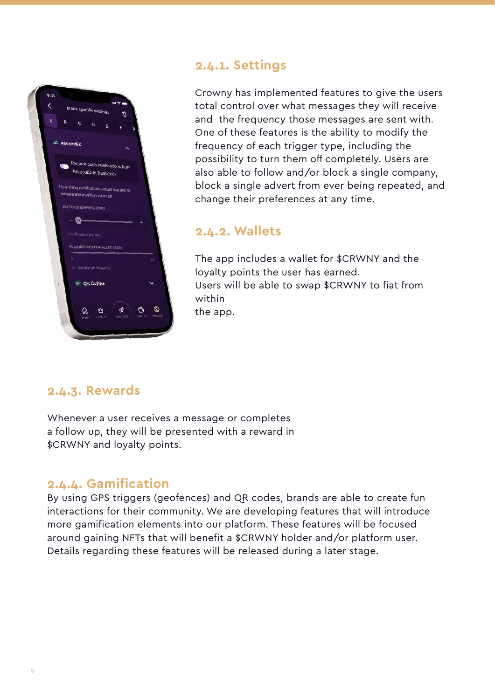

### **2.4.1. Settings**

Crowny has implemented features to give the users total control over what messages they will receive and the frequency those messages are sent with. One of these features is the ability to modify the frequency of each trigger type, including the possibility to turn them off completely. Users are also able to follow and/or block a single company, block a single advert from ever being repeated, and change their preferences at any time.

### **2.4.2. Wallets**

The app includes a wallet for \$CRWNY and the loyalty points the user has earned. Users will be able to swap \$CRWNY to fiat from within the app.

### **2.4.3. Rewards**

Whenever a user receives a message or completes a follow up, they will be presented with a reward in \$CRWNY and loyalty points.

### **2.4.4. Gamification**

By using GPS triggers (geofences) and QR codes, brands are able to create fun interactions for their community. We are developing features that will introduce more gamification elements into our platform. These features will be focused around gaining NFTs that will benefit a \$CRWNY holder and/or platform user. Details regarding these features will be released during a later stage.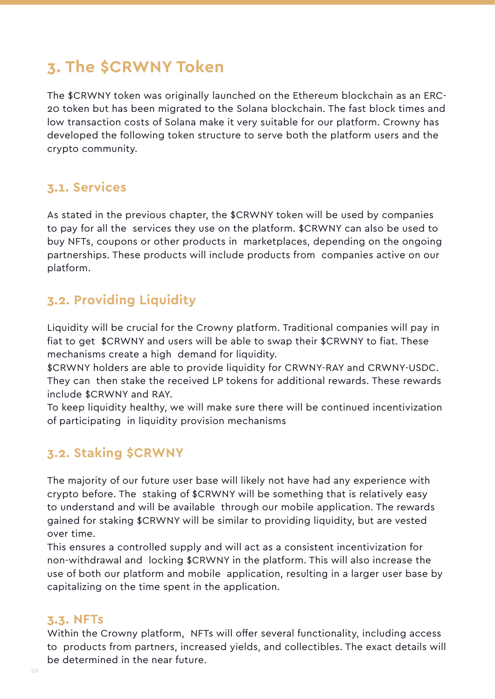## **3. The \$CRWNY Token**

The \$CRWNY token was originally launched on the Ethereum blockchain as an ERC-20 token but has been migrated to the Solana blockchain. The fast block times and low transaction costs of Solana make it very suitable for our platform. Crowny has developed the following token structure to serve both the platform users and the crypto community.

### **3.1. Services**

As stated in the previous chapter, the \$CRWNY token will be used by companies to pay for all the services they use on the platform. \$CRWNY can also be used to buy NFTs, coupons or other products in marketplaces, depending on the ongoing partnerships. These products will include products from companies active on our platform.

### **3.2. Providing Liquidity**

Liquidity will be crucial for the Crowny platform. Traditional companies will pay in fiat to get \$CRWNY and users will be able to swap their \$CRWNY to fiat. These mechanisms create a high demand for liquidity.

\$CRWNY holders are able to provide liquidity for CRWNY-RAY and CRWNY-USDC. They can then stake the received LP tokens for additional rewards. These rewards include \$CRWNY and RAY.

To keep liquidity healthy, we will make sure there will be continued incentivization of participating in liquidity provision mechanisms

### **3.2. Staking \$CRWNY**

The majority of our future user base will likely not have had any experience with crypto before. The staking of \$CRWNY will be something that is relatively easy to understand and will be available through our mobile application. The rewards gained for staking \$CRWNY will be similar to providing liquidity, but are vested over time.

This ensures a controlled supply and will act as a consistent incentivization for non-withdrawal and locking \$CRWNY in the platform. This will also increase the use of both our platform and mobile application, resulting in a larger user base by capitalizing on the time spent in the application.

### **3.3. NFTs**

Within the Crowny platform, NFTs will offer several functionality, including access to products from partners, increased yields, and collectibles. The exact details will be determined in the near future.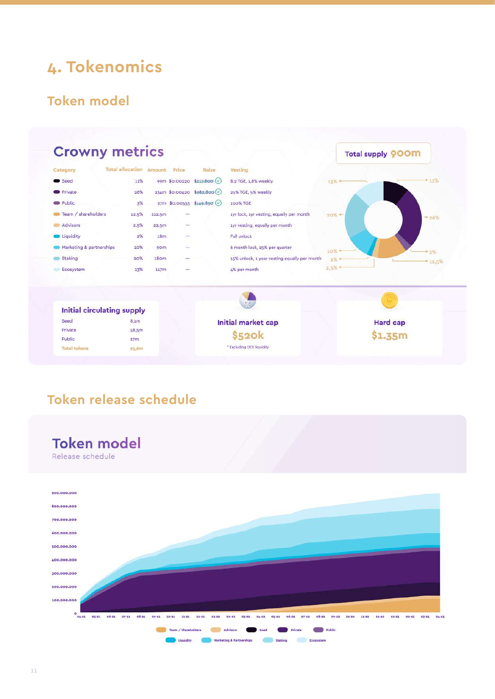## **4. Tokenomics**

### **Token model**



## **Token release schedule**



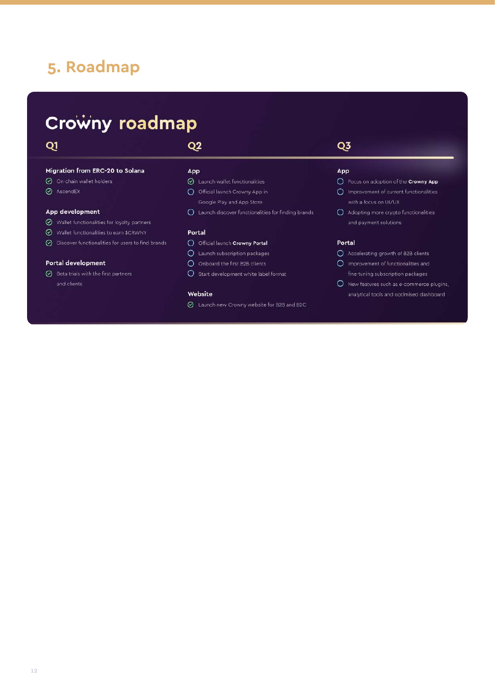## **5. Roadmap**

## Crowny roadmap

### $Q1$

### $Q2$

#### Migration from ERC-20 to Solana

- O On-chain wallet holders
- AscendEX

#### App development

- ◯ Wallet functionalities for loyalty partners
- ⊙ Wallet functionalities to earn \$CRWNY
- $\odot$  Discover functionalities for users to find brands

#### Portal development

 $\odot$  Beta trials with the first partners

#### App

- $\oslash$  Launch wallet functionalities
- O Official launch Crowny App in Google Play and App Store
- O Launch discover functionalities for finding brands

#### Portal

#### O Official launch Crowny Portal

- $O$  Launch subscription packages
- O Onboard the first B2B clients
- O Start development white label format

#### Website

⊙ Launch new Crowny website for B2B and B2C

## Q3

#### App

- O Focus on adoption of the Crowny App
- O Improvement of current functionalities with a focus on UI/UX
- O Adopting more crypto functionalities and payment solutions

#### Portal

- Accelerating growth of B2B clients
- O Improvement of functionalities and fine-tuning subscription packages
- $O$  New features such as e-commerce plugins, analytical tools and optimised dashboard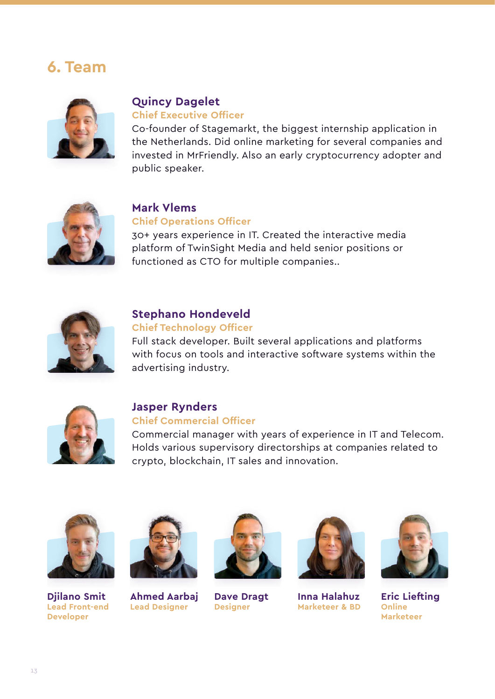## **6. Team**



### **Quincy Dagelet**

#### **Chief Executive Officer**

Co-founder of Stagemarkt, the biggest internship application in the Netherlands. Did online marketing for several companies and invested in MrFriendly. Also an early cryptocurrency adopter and public speaker.



### **Mark Vlems Chief Operations Officer**

30+ years experience in IT. Created the interactive media platform of TwinSight Media and held senior positions or functioned as CTO for multiple companies..



#### **Stephano Hondeveld Chief Technology Officer**

Full stack developer. Built several applications and platforms with focus on tools and interactive software systems within the advertising industry.



## **Jasper Rynders**

#### **Chief Commercial Officer**

Commercial manager with years of experience in IT and Telecom. Holds various supervisory directorships at companies related to crypto, blockchain, IT sales and innovation.



**Djilano Smit Lead Front-end Developer**



**Ahmed Aarbaj Lead Designer**



**Dave Dragt Designer**



**Inna Halahuz Marketeer & BD**



**Eric Liefting Online Marketeer**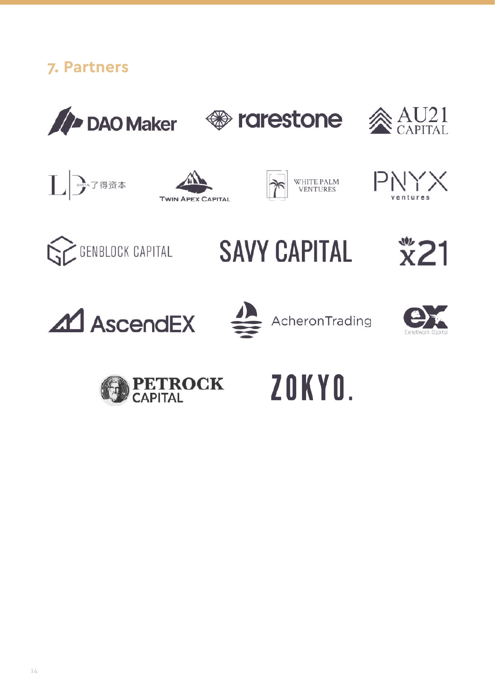

























# ZOKYO.